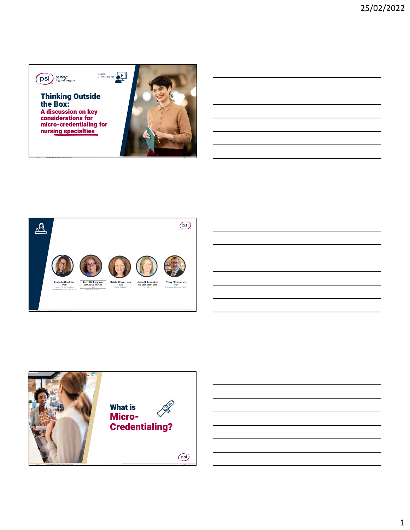

JULY 2021 **STACKABLE CREDENTIALS, A WAY TO ADDRESS THE SKILLS GAP?** PUBLIC **1**





1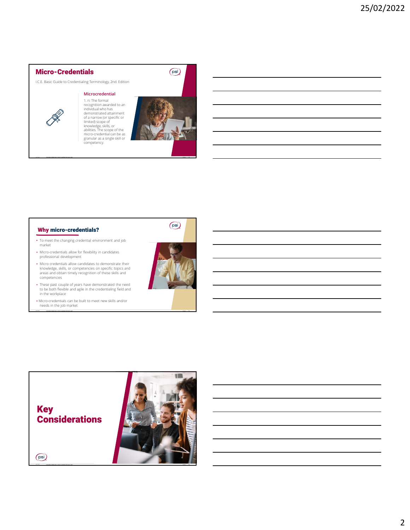## Micro-Credentials

I.C.E. Basic Guide to Credentialing Terminology, 2nd. Edition

## **Microcredential**

1. n: The formal recognition awarded to an individual who has demonstrated attainment of a narrow (or specific or limited) scope of knowledge, skills, or abilities. The scope of the micro-credential can be as granular as a single skill or competency.

JULY 2021 **STACKABLE CREDENTIALS, A WAY TO ADDRESS THE SKILLS GAP?** PUBLIC **4**



 $(\overline{ps})$ 

## Why micro-credentials?

- To meet the changing credential environment and job market
- Micro-credentials allow for flexibility in candidates professional development
- Micro credentials allow candidates to demonstrate their knowledge, skills, or competencies on specific topics and areas and obtain timely recognition of these skills and competencies
- These past couple of years have demonstrated the need to be both flexible and agile in the credentialing field and in the workplace
- Micro-credentials can be built to meet new skills and/or needs in the job market





JULY 2021 **STACKABLE CREDENTIALS, A WAY TO ADDRESS THE SKILLS GAP?** PUBLIC **5**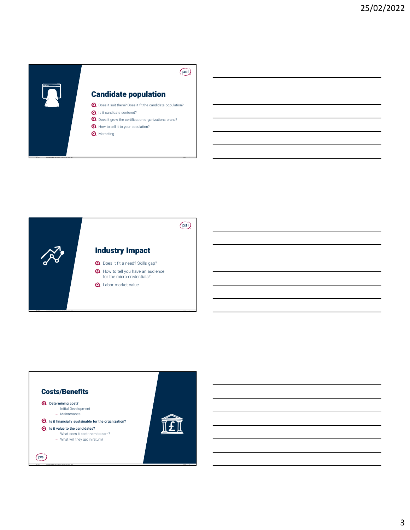

JULY 2021 **STACKABLE CREDENTIALS, A WAY TO ADDRESS THE SKILLS GAP?** PUBLIC **7**



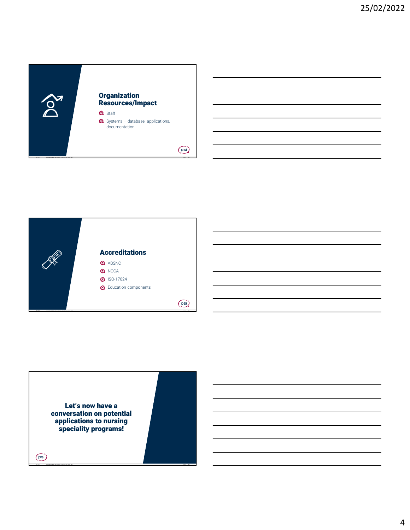